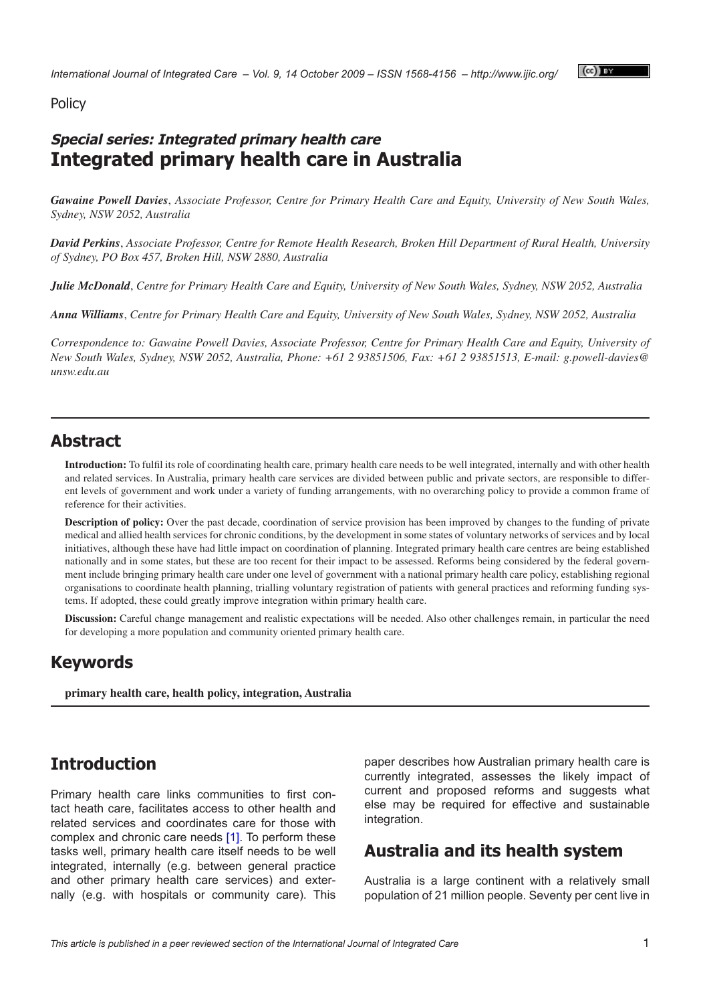### Policy

## **Special series: Integrated primary health care Integrated primary health care in Australia**

*Gawaine Powell Davies*, *Associate Professor, Centre for Primary Health Care and Equity, University of New South Wales, Sydney, NSW 2052, Australia*

*David Perkins*, *Associate Professor, Centre for Remote Health Research, Broken Hill Department of Rural Health, University of Sydney, PO Box 457, Broken Hill, NSW 2880, Australia*

*Julie McDonald*, *Centre for Primary Health Care and Equity, University of New South Wales, Sydney, NSW 2052, Australia*

*Anna Williams*, *Centre for Primary Health Care and Equity, University of New South Wales, Sydney, NSW 2052, Australia*

*Correspondence to: Gawaine Powell Davies, Associate Professor, Centre for Primary Health Care and Equity, University of New South Wales, Sydney, NSW 2052, Australia, Phone: +61 2 93851506, Fax: +61 2 93851513, E-mail: [g.powell-davies@](mailto:g.powell-davies@unsw.edu.au) [unsw.edu.au](mailto:g.powell-davies@unsw.edu.au)*

## **Abstract**

**Introduction:** To fulfil its role of coordinating health care, primary health care needs to be well integrated, internally and with other health and related services. In Australia, primary health care services are divided between public and private sectors, are responsible to different levels of government and work under a variety of funding arrangements, with no overarching policy to provide a common frame of reference for their activities.

**Description of policy:** Over the past decade, coordination of service provision has been improved by changes to the funding of private medical and allied health services for chronic conditions, by the development in some states of voluntary networks of services and by local initiatives, although these have had little impact on coordination of planning. Integrated primary health care centres are being established nationally and in some states, but these are too recent for their impact to be assessed. Reforms being considered by the federal government include bringing primary health care under one level of government with a national primary health care policy, establishing regional organisations to coordinate health planning, trialling voluntary registration of patients with general practices and reforming funding systems. If adopted, these could greatly improve integration within primary health care.

**Discussion:** Careful change management and realistic expectations will be needed. Also other challenges remain, in particular the need for developing a more population and community oriented primary health care.

### **Keywords**

**primary health care, health policy, integration, Australia**

### **Introduction**

Primary health care links communities to first contact heath care, facilitates access to other health and related services and coordinates care for those with complex and chronic care needs [[1](#page-7-0)]. To perform these tasks well, primary health care itself needs to be well integrated, internally (e.g. between general practice and other primary health care services) and externally (e.g. with hospitals or community care). This paper describes how Australian primary health care is currently integrated, assesses the likely impact of current and proposed reforms and suggests what else may be required for effective and sustainable integration.

## **Australia and its health system**

Australia is a large continent with a relatively small population of 21 million people. Seventy per cent live in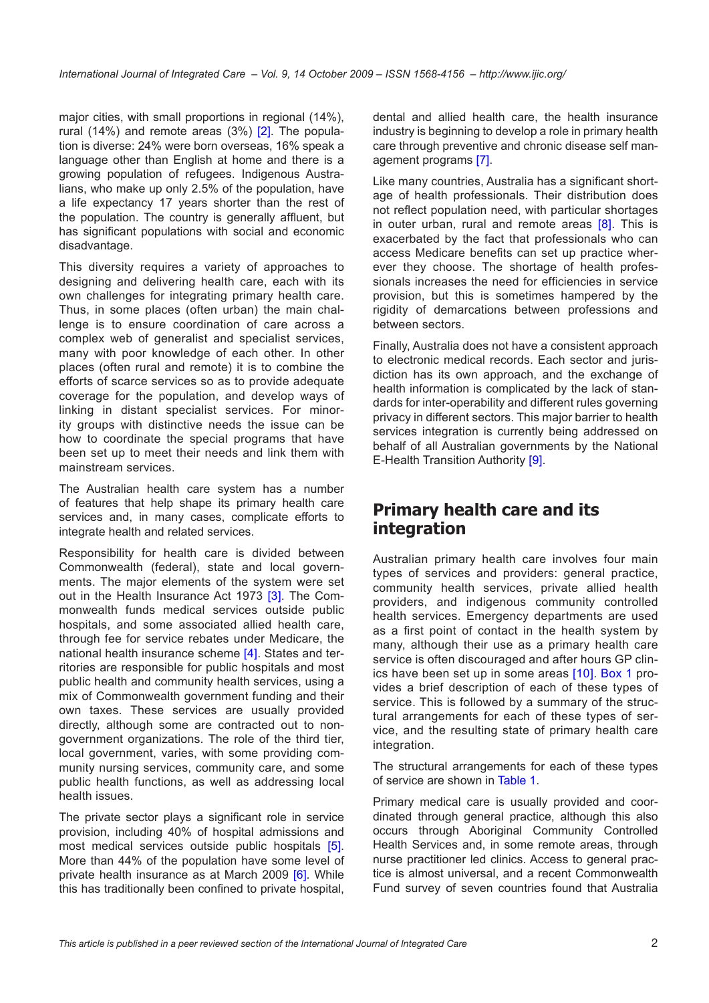major cities, with small proportions in regional (14%), rural (14%) and remote areas  $(3%)$   $[2]$  $[2]$ . The population is diverse: 24% were born overseas, 16% speak a language other than English at home and there is a growing population of refugees. Indigenous Australians, who make up only 2.5% of the population, have a life expectancy 17 years shorter than the rest of the population. The country is generally affluent, but has significant populations with social and economic disadvantage.

This diversity requires a variety of approaches to designing and delivering health care, each with its own challenges for integrating primary health care. Thus, in some places (often urban) the main challenge is to ensure coordination of care across a complex web of generalist and specialist services, many with poor knowledge of each other. In other places (often rural and remote) it is to combine the efforts of scarce services so as to provide adequate coverage for the population, and develop ways of linking in distant specialist services. For minority groups with distinctive needs the issue can be how to coordinate the special programs that have been set up to meet their needs and link them with mainstream services.

The Australian health care system has a number of features that help shape its primary health care services and, in many cases, complicate efforts to integrate health and related services.

Responsibility for health care is divided between Commonwealth (federal), state and local governments. The major elements of the system were set out in the Health Insurance Act 197[3](#page-7-0) [3]. The Commonwealth funds medical services outside public hospitals, and some associated allied health care, through fee for service rebates under Medicare, the national health insurance scheme [[4](#page-7-0)]. States and territories are responsible for public hospitals and most public health and community health services, using a mix of Commonwealth government funding and their own taxes. These services are usually provided directly, although some are contracted out to nongovernment organizations. The role of the third tier, local government, varies, with some providing community nursing services, community care, and some public health functions, as well as addressing local health issues.

The private sector plays a significant role in service provision, including 40% of hospital admissions and most medical services outside public hospitals [\[5\]](#page-7-0). More than 44% of the population have some level of private health insurance as at March 2009 [\[6\]](#page-7-0). While this has traditionally been confined to private hospital,

dental and allied health care, the health insurance industry is beginning to develop a role in primary health care through preventive and chronic disease self management programs [[7](#page-7-0)].

Like many countries, Australia has a significant shortage of health professionals. Their distribution does not reflect population need, with particular shortages in outer urban, rural and remote areas [\[8\]](#page-7-0). This is exacerbated by the fact that professionals who can access Medicare benefits can set up practice wherever they choose. The shortage of health professionals increases the need for efficiencies in service provision, but this is sometimes hampered by the rigidity of demarcations between professions and between sectors.

Finally, Australia does not have a consistent approach to electronic medical records. Each sector and jurisdiction has its own approach, and the exchange of health information is complicated by the lack of standards for inter-operability and different rules governing privacy in different sectors. This major barrier to health services integration is currently being addressed on behalf of all Australian governments by the National E-Health Transition Authority [\[9\]](#page-7-0).

## **Primary health care and its integration**

Australian primary health care involves four main types of services and providers: general practice, community health services, private allied health providers, and indigenous community controlled health services. Emergency departments are used as a first point of contact in the health system by many, although their use as a primary health care service is often discouraged and after hours GP clinics have been set up in some areas [[10\]](#page-7-0). [Box](#page-2-0) 1 provides a brief description of each of these types of service. This is followed by a summary of the structural arrangements for each of these types of service, and the resulting state of primary health care integration.

The structural arrangements for each of these types of service are shown in [Table 1](#page-2-0).

Primary medical care is usually provided and coordinated through general practice, although this also occurs through Aboriginal Community Controlled Health Services and, in some remote areas, through nurse practitioner led clinics. Access to general practice is almost universal, and a recent Commonwealth Fund survey of seven countries found that Australia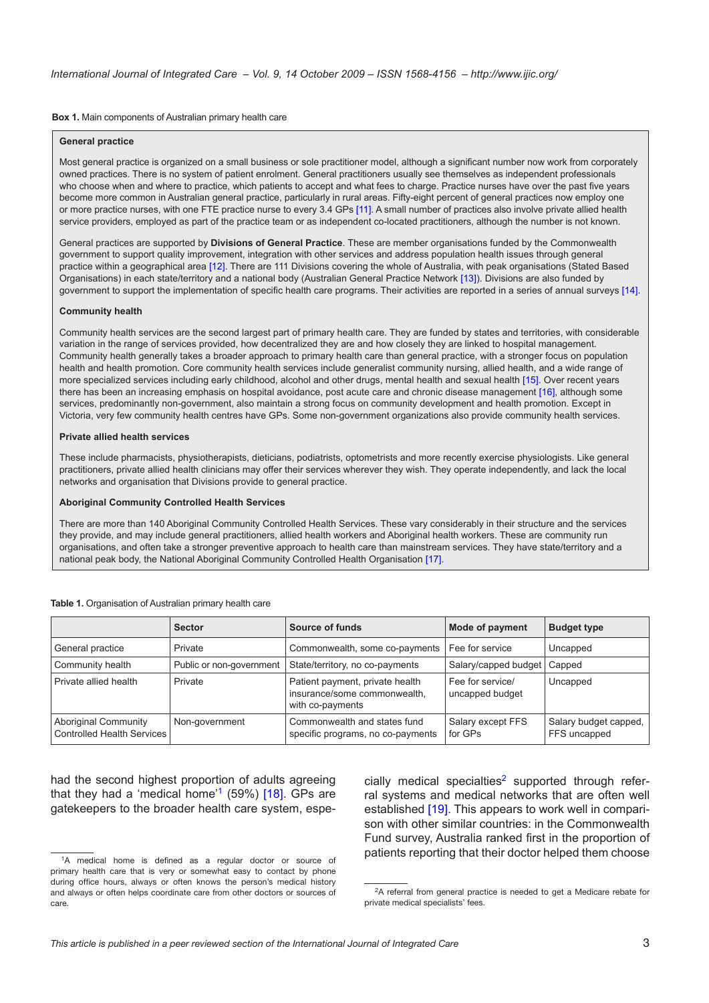<span id="page-2-0"></span>**Box 1.** Main components of Australian primary health care

#### **General practice**

Most general practice is organized on a small business or sole practitioner model, although a significant number now work from corporately owned practices. There is no system of patient enrolment. General practitioners usually see themselves as independent professionals who choose when and where to practice, which patients to accept and what fees to charge. Practice nurses have over the past five years become more common in Australian general practice, particularly in rural areas. Fifty-eight percent of general practices now employ one or more practice nurses, with one FTE practice nurse to every 3.4 GPs [\[11\]](#page-7-0). A small number of practices also involve private allied health service providers, employed as part of the practice team or as independent co-located practitioners, although the number is not known.

General practices are supported by **Divisions of General Practice**. These are member organisations funded by the Commonwealth government to support quality improvement, integration with other services and address population health issues through general practice within a geographical area [[12\]](#page-7-0). There are 111 Divisions covering the whole of Australia, with peak organisations (Stated Based Organisations) in each state/territory and a national body (Australian General Practice Network [\[13](#page-7-0)]). Divisions are also funded by government to support the implementation of specific health care programs. Their activities are reported in a series of annual surveys [[14\]](#page-7-0).

### **Community health**

Community health services are the second largest part of primary health care. They are funded by states and territories, with considerable variation in the range of services provided, how decentralized they are and how closely they are linked to hospital management. Community health generally takes a broader approach to primary health care than general practice, with a stronger focus on population health and health promotion. Core community health services include generalist community nursing, allied health, and a wide range of more specialized services including early childhood, alcohol and other drugs, mental health and sexual health [\[15](#page-7-0)]. Over recent years there has been an increasing emphasis on hospital avoidance, post acute care and chronic disease management [[16\]](#page-7-0), although some services, predominantly non-government, also maintain a strong focus on community development and health promotion. Except in Victoria, very few community health centres have GPs. Some non-government organizations also provide community health services.

### **Private allied health services**

These include pharmacists, physiotherapists, dieticians, podiatrists, optometrists and more recently exercise physiologists. Like general practitioners, private allied health clinicians may offer their services wherever they wish. They operate independently, and lack the local networks and organisation that Divisions provide to general practice.

#### **Aboriginal Community Controlled Health Services**

There are more than 140 Aboriginal Community Controlled Health Services. These vary considerably in their structure and the services they provide, and may include general practitioners, allied health workers and Aboriginal health workers. These are community run organisations, and often take a stronger preventive approach to health care than mainstream services. They have state/territory and a national peak body, the National Aboriginal Community Controlled Health Organisation [[17\]](#page-7-0).

|                                                           | <b>Sector</b>            | Source of funds                                                                     | <b>Mode of payment</b>              | <b>Budget type</b>                    |
|-----------------------------------------------------------|--------------------------|-------------------------------------------------------------------------------------|-------------------------------------|---------------------------------------|
| General practice                                          | Private                  | Commonwealth, some co-payments                                                      | Fee for service                     | Uncapped                              |
| Community health                                          | Public or non-government | State/territory, no co-payments                                                     | Salary/capped budget                | Capped                                |
| Private allied health                                     | Private                  | Patient payment, private health<br>insurance/some commonwealth,<br>with co-payments | Fee for service/<br>uncapped budget | Uncapped                              |
| <b>Aboriginal Community</b><br>Controlled Health Services | Non-government           | Commonwealth and states fund<br>specific programs, no co-payments                   | Salary except FFS<br>for GPs        | Salary budget capped,<br>FFS uncapped |

**Table 1.** Organisation of Australian primary health care

had the second highest proportion of adults agreeing that they had a 'medical home'<sup>1</sup> (59%)  $[18]$  $[18]$  $[18]$ . GPs are gatekeepers to the broader health care system, especially medical specialties<sup>[2](#page-2-2)</sup> supported through referral systems and medical networks that are often well established [\[19](#page-7-0)]. This appears to work well in comparison with other similar countries: in the Commonwealth Fund survey, Australia ranked first in the proportion of patients reporting that their doctor helped them choose

<span id="page-2-1"></span><sup>&</sup>lt;sup>1</sup>A medical home is defined as a regular doctor or source of primary health care that is very or somewhat easy to contact by phone during office hours, always or often knows the person's medical history and always or often helps coordinate care from other doctors or sources of care.

<span id="page-2-2"></span><sup>&</sup>lt;sup>2</sup>A referral from general practice is needed to get a Medicare rebate for private medical specialists' fees.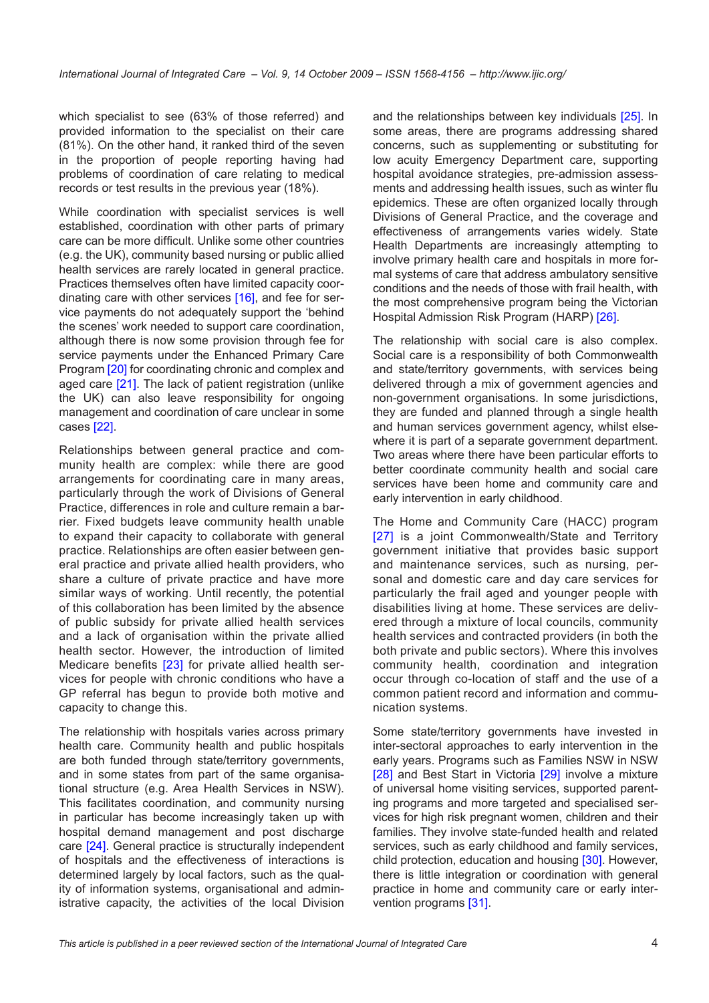which specialist to see (63% of those referred) and provided information to the specialist on their care (81%). On the other hand, it ranked third of the seven in the proportion of people reporting having had problems of coordination of care relating to medical records or test results in the previous year (18%).

While coordination with specialist services is well established, coordination with other parts of primary care can be more difficult. Unlike some other countries (e.g. the UK), community based nursing or public allied health services are rarely located in general practice. Practices themselves often have limited capacity coor-dinating care with other services [\[16](#page-7-0)], and fee for service payments do not adequately support the 'behind the scenes' work needed to support care coordination, although there is now some provision through fee for service payments under the Enhanced Primary Care Program [[20](#page-7-0)] for coordinating chronic and complex and aged care [[21\]](#page-7-0). The lack of patient registration (unlike the UK) can also leave responsibility for ongoing management and coordination of care unclear in some cases [\[22](#page-7-0)].

Relationships between general practice and community health are complex: while there are good arrangements for coordinating care in many areas, particularly through the work of Divisions of General Practice, differences in role and culture remain a barrier. Fixed budgets leave community health unable to expand their capacity to collaborate with general practice. Relationships are often easier between general practice and private allied health providers, who share a culture of private practice and have more similar ways of working. Until recently, the potential of this collaboration has been limited by the absence of public subsidy for private allied health services and a lack of organisation within the private allied health sector. However, the introduction of limited Medicare benefits [[23](#page-7-0)] for private allied health services for people with chronic conditions who have a GP referral has begun to provide both motive and capacity to change this.

The relationship with hospitals varies across primary health care. Community health and public hospitals are both funded through state/territory governments, and in some states from part of the same organisational structure (e.g. Area Health Services in NSW). This facilitates coordination, and community nursing in particular has become increasingly taken up with hospital demand management and post discharge care [\[24](#page-7-0)]. General practice is structurally independent of hospitals and the effectiveness of interactions is determined largely by local factors, such as the quality of information systems, organisational and administrative capacity, the activities of the local Division

and the relationships between key individuals [\[25](#page-8-0)]. In some areas, there are programs addressing shared concerns, such as supplementing or substituting for low acuity Emergency Department care, supporting hospital avoidance strategies, pre-admission assessments and addressing health issues, such as winter flu epidemics. These are often organized locally through Divisions of General Practice, and the coverage and effectiveness of arrangements varies widely. State Health Departments are increasingly attempting to involve primary health care and hospitals in more formal systems of care that address ambulatory sensitive conditions and the needs of those with frail health, with the most comprehensive program being the Victorian Hospital Admission Risk Program (HARP) [[26\]](#page-8-0).

The relationship with social care is also complex. Social care is a responsibility of both Commonwealth and state/territory governments, with services being delivered through a mix of government agencies and non-government organisations. In some jurisdictions, they are funded and planned through a single health and human services government agency, whilst elsewhere it is part of a separate government department. Two areas where there have been particular efforts to better coordinate community health and social care services have been home and community care and early intervention in early childhood.

The Home and Community Care (HACC) program [\[27\]](#page-8-0) is a joint Commonwealth/State and Territory government initiative that provides basic support and maintenance services, such as nursing, personal and domestic care and day care services for particularly the frail aged and younger people with disabilities living at home. These services are delivered through a mixture of local councils, community health services and contracted providers (in both the both private and public sectors). Where this involves community health, coordination and integration occur through co-location of staff and the use of a common patient record and information and communication systems.

Some state/territory governments have invested in inter-sectoral approaches to early intervention in the early years. Programs such as Families NSW in NSW [\[28](#page-8-0)] and Best Start in Victoria [[29\]](#page-8-0) involve a mixture of universal home visiting services, supported parenting programs and more targeted and specialised services for high risk pregnant women, children and their families. They involve state-funded health and related services, such as early childhood and family services, child protection, education and housing [[30\]](#page-8-0). However, there is little integration or coordination with general practice in home and community care or early intervention programs [\[31](#page-8-0)].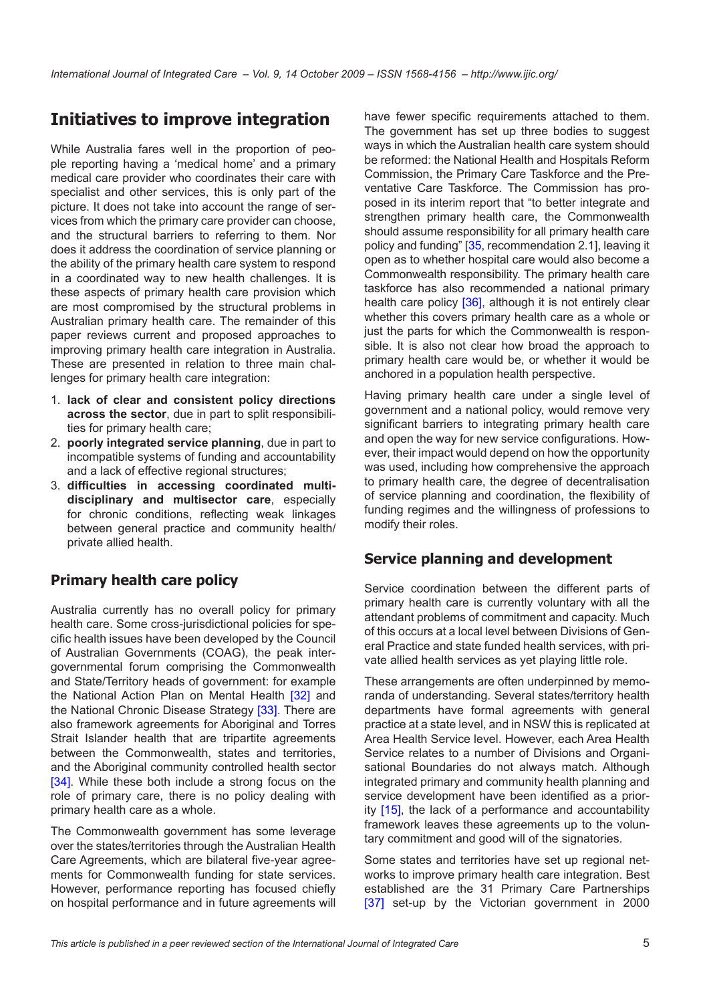# **Initiatives to improve integration**

While Australia fares well in the proportion of people reporting having a 'medical home' and a primary medical care provider who coordinates their care with specialist and other services, this is only part of the picture. It does not take into account the range of services from which the primary care provider can choose, and the structural barriers to referring to them. Nor does it address the coordination of service planning or the ability of the primary health care system to respond in a coordinated way to new health challenges. It is these aspects of primary health care provision which are most compromised by the structural problems in Australian primary health care. The remainder of this paper reviews current and proposed approaches to improving primary health care integration in Australia. These are presented in relation to three main challenges for primary health care integration:

- 1. **lack of clear and consistent policy directions across the sector**, due in part to split responsibilities for primary health care;
- 2. **poorly integrated service planning**, due in part to incompatible systems of funding and accountability and a lack of effective regional structures;
- 3. **difficulties in accessing coordinated multidisciplinary and multisector care**, especially for chronic conditions, reflecting weak linkages between general practice and community health/ private allied health.

## **Primary health care policy**

Australia currently has no overall policy for primary health care. Some cross-jurisdictional policies for specific health issues have been developed by the Council of Australian Governments (COAG), the peak intergovernmental forum comprising the Commonwealth and State/Territory heads of government: for example the National Action Plan on Mental Health [[32\]](#page-8-0) and the National Chronic Disease Strategy [[33](#page-8-0)]. There are also framework agreements for Aboriginal and Torres Strait Islander health that are tripartite agreements between the Commonwealth, states and territories, and the Aboriginal community controlled health sector [\[34](#page-8-0)]. While these both include a strong focus on the role of primary care, there is no policy dealing with primary health care as a whole.

The Commonwealth government has some leverage over the states/territories through the Australian Health Care Agreements, which are bilateral five-year agreements for Commonwealth funding for state services. However, performance reporting has focused chiefly on hospital performance and in future agreements will have fewer specific requirements attached to them. The government has set up three bodies to suggest ways in which the Australian health care system should be reformed: the National Health and Hospitals Reform Commission, the Primary Care Taskforce and the Preventative Care Taskforce. The Commission has proposed in its interim report that "to better integrate and strengthen primary health care, the Commonwealth should assume responsibility for all primary health care policy and funding" [\[35](#page-8-0), recommendation 2.1], leaving it open as to whether hospital care would also become a Commonwealth responsibility. The primary health care taskforce has also recommended a national primary health care policy [[36\]](#page-8-0), although it is not entirely clear whether this covers primary health care as a whole or just the parts for which the Commonwealth is responsible. It is also not clear how broad the approach to primary health care would be, or whether it would be anchored in a population health perspective.

Having primary health care under a single level of government and a national policy, would remove very significant barriers to integrating primary health care and open the way for new service configurations. However, their impact would depend on how the opportunity was used, including how comprehensive the approach to primary health care, the degree of decentralisation of service planning and coordination, the flexibility of funding regimes and the willingness of professions to modify their roles.

### **Service planning and development**

Service coordination between the different parts of primary health care is currently voluntary with all the attendant problems of commitment and capacity. Much of this occurs at a local level between Divisions of General Practice and state funded health services, with private allied health services as yet playing little role.

These arrangements are often underpinned by memoranda of understanding. Several states/territory health departments have formal agreements with general practice at a state level, and in NSW this is replicated at Area Health Service level. However, each Area Health Service relates to a number of Divisions and Organisational Boundaries do not always match. Although integrated primary and community health planning and service development have been identified as a priority [[15\]](#page-7-0), the lack of a performance and accountability framework leaves these agreements up to the voluntary commitment and good will of the signatories.

Some states and territories have set up regional networks to improve primary health care integration. Best established are the 31 Primary Care Partnerships [[37](#page-8-0)] set-up by the Victorian government in 2000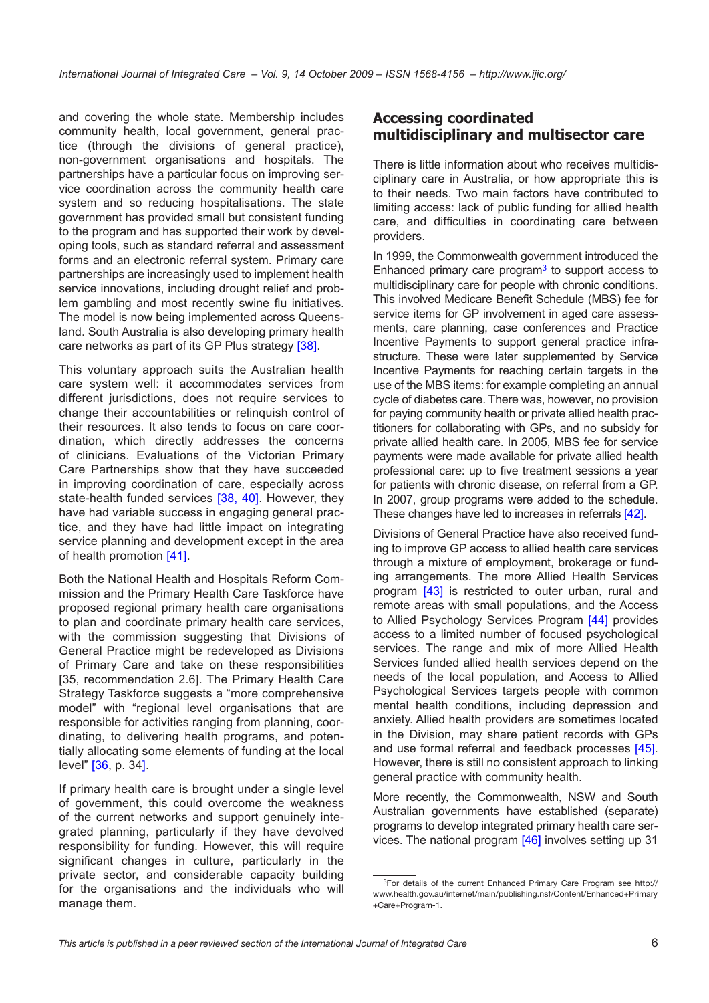and covering the whole state. Membership includes community health, local government, general practice (through the divisions of general practice), non-government organisations and hospitals. The partnerships have a particular focus on improving service coordination across the community health care system and so reducing hospitalisations. The state government has provided small but consistent funding to the program and has supported their work by developing tools, such as standard referral and assessment forms and an electronic referral system. Primary care partnerships are increasingly used to implement health service innovations, including drought relief and problem gambling and most recently swine flu initiatives. The model is now being implemented across Queensland. South Australia is also developing primary health care networks as part of its GP Plus strategy [\[38](#page-8-0)].

This voluntary approach suits the Australian health care system well: it accommodates services from different jurisdictions, does not require services to change their accountabilities or relinquish control of their resources. It also tends to focus on care coordination, which directly addresses the concerns of clinicians. Evaluations of the Victorian Primary Care Partnerships show that they have succeeded in improving coordination of care, especially across state-health funded services [\[38,](#page-8-0) [40\]](#page-8-0). However, they have had variable success in engaging general practice, and they have had little impact on integrating service planning and development except in the area of health promotion [[41](#page-8-0)].

Both the National Health and Hospitals Reform Commission and the Primary Health Care Taskforce have proposed regional primary health care organisations to plan and coordinate primary health care services, with the commission suggesting that Divisions of General Practice might be redeveloped as Divisions of Primary Care and take on these responsibilities [35, recommendation 2.6]. The Primary Health Care Strategy Taskforce suggests a "more comprehensive model" with "regional level organisations that are responsible for activities ranging from planning, coordinating, to delivering health programs, and potentially allocating some elements of funding at the local level" [[36,](#page-8-0) p. 34].

If primary health care is brought under a single level of government, this could overcome the weakness of the current networks and support genuinely integrated planning, particularly if they have devolved responsibility for funding. However, this will require significant changes in culture, particularly in the private sector, and considerable capacity building for the organisations and the individuals who will manage them.

### **Accessing coordinated multidisciplinary and multisector care**

There is little information about who receives multidisciplinary care in Australia, or how appropriate this is to their needs. Two main factors have contributed to limiting access: lack of public funding for allied health care, and difficulties in coordinating care between providers.

In 1999, the Commonwealth government introduced the Enhanced primary care program $3$  to support access to multidisciplinary care for people with chronic conditions. This involved Medicare Benefit Schedule (MBS) fee for service items for GP involvement in aged care assessments, care planning, case conferences and Practice Incentive Payments to support general practice infrastructure. These were later supplemented by Service Incentive Payments for reaching certain targets in the use of the MBS items: for example completing an annual cycle of diabetes care. There was, however, no provision for paying community health or private allied health practitioners for collaborating with GPs, and no subsidy for private allied health care. In 2005, MBS fee for service payments were made available for private allied health professional care: up to five treatment sessions a year for patients with chronic disease, on referral from a GP. In 2007, group programs were added to the schedule. These changes have led to increases in referrals [\[42\]](#page-8-0).

Divisions of General Practice have also received funding to improve GP access to allied health care services through a mixture of employment, brokerage or funding arrangements. The more Allied Health Services program [\[43\]](#page-8-0) is restricted to outer urban, rural and remote areas with small populations, and the Access to Allied Psychology Services Program [[44](#page-8-0)] provides access to a limited number of focused psychological services. The range and mix of more Allied Health Services funded allied health services depend on the needs of the local population, and Access to Allied Psychological Services targets people with common mental health conditions, including depression and anxiety. Allied health providers are sometimes located in the Division, may share patient records with GPs and use formal referral and feedback processes [\[45](#page-8-0)]. However, there is still no consistent approach to linking general practice with community health.

More recently, the Commonwealth, NSW and South Australian governments have established (separate) programs to develop integrated primary health care services. The national program [[46\]](#page-8-0) involves setting up 31

<span id="page-5-0"></span><sup>&</sup>lt;sup>3</sup>For details of the current Enhanced Primary Care Program see [http://](http://www.health.gov.au/internet/main/publishing.nsf/Content/Enhanced+Primary+Care+Program-1) [www.health.gov.au/internet/main/publishing.nsf/Content/Enhanced+Primary](http://www.health.gov.au/internet/main/publishing.nsf/Content/Enhanced+Primary+Care+Program-1) [+Care+Program-1.](http://www.health.gov.au/internet/main/publishing.nsf/Content/Enhanced+Primary+Care+Program-1)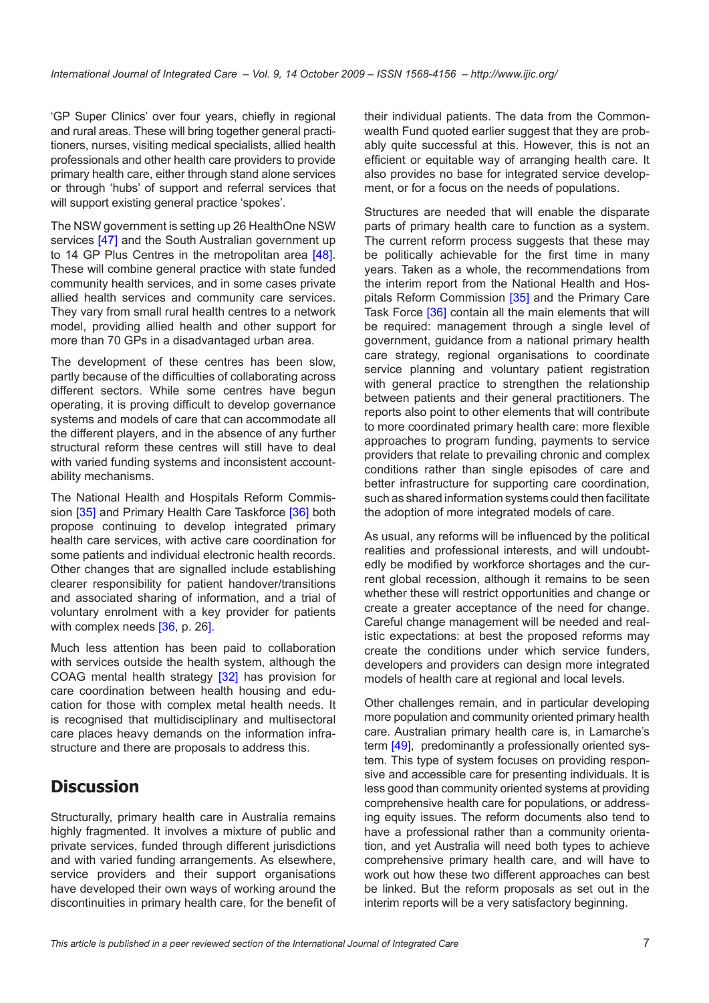'GP Super Clinics' over four years, chiefly in regional and rural areas. These will bring together general practitioners, nurses, visiting medical specialists, allied health professionals and other health care providers to provide primary health care, either through stand alone services or through 'hubs' of support and referral services that will support existing general practice 'spokes'.

The NSW government is setting up 26 HealthOne NSW services [\[47](#page-8-0)] and the South Australian government up to 14 GP Plus Centres in the metropolitan area [\[48](#page-8-0)]. These will combine general practice with state funded community health services, and in some cases private allied health services and community care services. They vary from small rural health centres to a network model, providing allied health and other support for more than 70 GPs in a disadvantaged urban area.

The development of these centres has been slow, partly because of the difficulties of collaborating across different sectors. While some centres have begun operating, it is proving difficult to develop governance systems and models of care that can accommodate all the different players, and in the absence of any further structural reform these centres will still have to deal with varied funding systems and inconsistent accountability mechanisms.

The National Health and Hospitals Reform Commis-sion [[35\]](#page-8-0) and Primary Health Care Taskforce [[36\]](#page-8-0) both propose continuing to develop integrated primary health care services, with active care coordination for some patients and individual electronic health records. Other changes that are signalled include establishing clearer responsibility for patient handover/transitions and associated sharing of information, and a trial of voluntary enrolment with a key provider for patients with complex needs [[36](#page-8-0), p. 26].

Much less attention has been paid to collaboration with services outside the health system, although the COAG mental health strategy [\[32](#page-8-0)] has provision for care coordination between health housing and education for those with complex metal health needs. It is recognised that multidisciplinary and multisectoral care places heavy demands on the information infrastructure and there are proposals to address this.

# **Discussion**

Structurally, primary health care in Australia remains highly fragmented. It involves a mixture of public and private services, funded through different jurisdictions and with varied funding arrangements. As elsewhere, service providers and their support organisations have developed their own ways of working around the discontinuities in primary health care, for the benefit of their individual patients. The data from the Commonwealth Fund quoted earlier suggest that they are probably quite successful at this. However, this is not an efficient or equitable way of arranging health care. It also provides no base for integrated service development, or for a focus on the needs of populations.

Structures are needed that will enable the disparate parts of primary health care to function as a system. The current reform process suggests that these may be politically achievable for the first time in many years. Taken as a whole, the recommendations from the interim report from the National Health and Hos-pitals Reform Commission [[35\]](#page-8-0) and the Primary Care Task Force [\[36](#page-8-0)] contain all the main elements that will be required: management through a single level of government, guidance from a national primary health care strategy, regional organisations to coordinate service planning and voluntary patient registration with general practice to strengthen the relationship between patients and their general practitioners. The reports also point to other elements that will contribute to more coordinated primary health care: more flexible approaches to program funding, payments to service providers that relate to prevailing chronic and complex conditions rather than single episodes of care and better infrastructure for supporting care coordination, such as shared information systems could then facilitate the adoption of more integrated models of care.

As usual, any reforms will be influenced by the political realities and professional interests, and will undoubtedly be modified by workforce shortages and the current global recession, although it remains to be seen whether these will restrict opportunities and change or create a greater acceptance of the need for change. Careful change management will be needed and realistic expectations: at best the proposed reforms may create the conditions under which service funders, developers and providers can design more integrated models of health care at regional and local levels.

Other challenges remain, and in particular developing more population and community oriented primary health care. Australian primary health care is, in Lamarche's term [\[49](#page-8-0)], predominantly a professionally oriented system. This type of system focuses on providing responsive and accessible care for presenting individuals. It is less good than community oriented systems at providing comprehensive health care for populations, or addressing equity issues. The reform documents also tend to have a professional rather than a community orientation, and yet Australia will need both types to achieve comprehensive primary health care, and will have to work out how these two different approaches can best be linked. But the reform proposals as set out in the interim reports will be a very satisfactory beginning.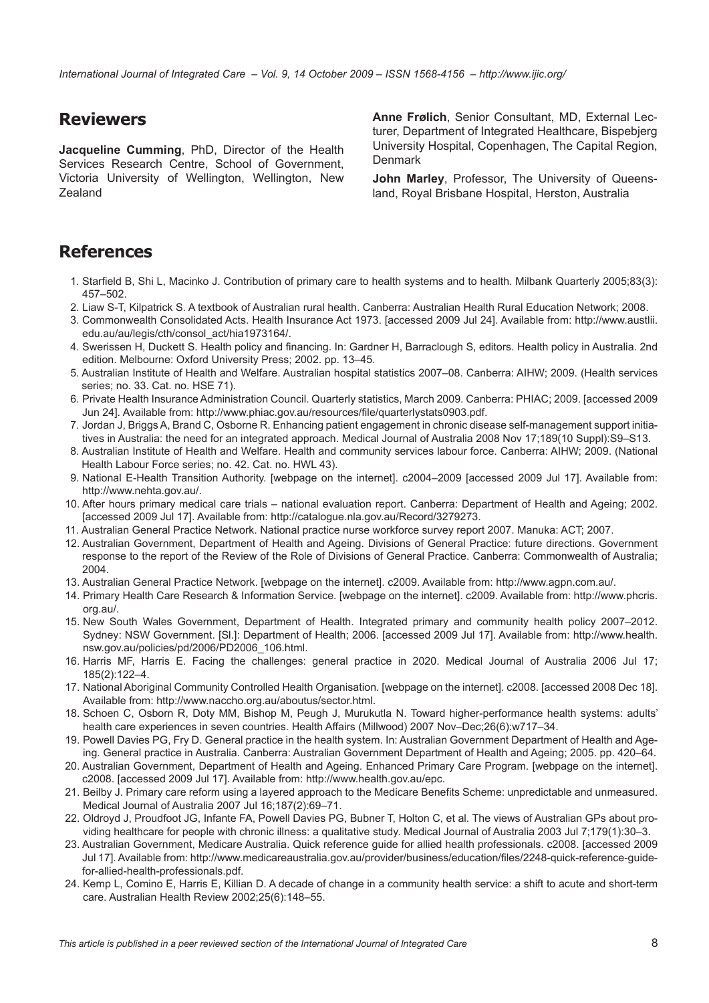<span id="page-7-0"></span>*International Journal of Integrated Care – Vol. 9, 14 October 2009 – ISSN 1568-4156 – http://www.ijic.org/*

# **Reviewers**

**Jacqueline Cumming**, PhD, Director of the Health Services Research Centre, School of Government, Victoria University of Wellington, Wellington, New Zealand

**Anne Frølich**, Senior Consultant, MD, External Lecturer, Department of Integrated Healthcare, Bispebjerg University Hospital, Copenhagen, The Capital Region, **Denmark** 

**John Marley**, Professor, The University of Queensland, Royal Brisbane Hospital, Herston, Australia

# **References**

- 1. Starfield B, Shi L, Macinko J. Contribution of primary care to health systems and to health. Milbank Quarterly 2005;83(3): 457–502.
- 2. Liaw S-T, Kilpatrick S. A textbook of Australian rural health. Canberra: Australian Health Rural Education Network; 2008.
- 3. Commonwealth Consolidated Acts. Health Insurance Act 1973. [accessed 2009 Jul 24]. Available from: [http://www.austlii.](http://www.austlii.edu.au/au/legis/cth/consol_act/hia1973164/) [edu.au/au/legis/cth/consol\\_act/hia1973164/](http://www.austlii.edu.au/au/legis/cth/consol_act/hia1973164/).
- 4. Swerissen H, Duckett S. Health policy and financing. In: Gardner H, Barraclough S, editors. Health policy in Australia. 2nd edition. Melbourne: Oxford University Press; 2002. pp. 13–45.
- 5. Australian Institute of Health and Welfare. Australian hospital statistics 2007–08. Canberra: AIHW; 2009. (Health services series; no. 33. Cat. no. HSE 71).
- 6. Private Health Insurance Administration Council. Quarterly statistics, March 2009. Canberra: PHIAC; 2009. [accessed 2009 Jun 24]. Available from: [http://www.phiac.gov.au/resources/file/quarterlystats0903.pd](http://www.phiac.gov.au/resources/file/quarterlystats0903.pdf)f.
- 7. Jordan J, Briggs A, Brand C, Osborne R. Enhancing patient engagement in chronic disease self-management support initiatives in Australia: the need for an integrated approach. Medical Journal of Australia 2008 Nov 17;189(10 Suppl):S9–S13.
- 8. Australian Institute of Health and Welfare. Health and community services labour force. Canberra: AIHW; 2009. (National Health Labour Force series; no. 42. Cat. no. HWL 43).
- 9. National E-Health Transition Authority. [webpage on the internet]. c2004–2009 [accessed 2009 Jul 17]. Available from: <http://www.nehta.gov.au/>.
- 10. After hours primary medical care trials national evaluation report. Canberra: Department of Health and Ageing; 2002. [accessed 2009 Jul 17]. Available from: [http://catalogue.nla.gov.au/Record/3279273.](http://catalogue.nla.gov.au/Record/3279273)
- 11. Australian General Practice Network. National practice nurse workforce survey report 2007. Manuka: ACT; 2007.
- 12. Australian Government, Department of Health and Ageing. Divisions of General Practice: future directions. Government response to the report of the Review of the Role of Divisions of General Practice. Canberra: Commonwealth of Australia; 2004.
- 13. Australian General Practice Network. [webpage on the internet]. c2009. Available from: <http://www.agpn.com.au/>.
- 14. Primary Health Care Research & Information Service. [webpage on the internet]. c2009. Available from: [http://www.phcris.](http://www.phcris.org.au/) [org.au/.](http://www.phcris.org.au/)
- 15. New South Wales Government, Department of Health. Integrated primary and community health policy 2007–2012. Sydney: NSW Government. [Sl.]: Department of Health; 2006. [accessed 2009 Jul 17]. Available from: [http://www.health.](http://www.health.nsw.gov.au/policies/pd/2006/PD2006_106.html) [nsw.gov.au/policies/pd/2006/PD2006\\_106.html](http://www.health.nsw.gov.au/policies/pd/2006/PD2006_106.html).
- 16. Harris MF, Harris E. Facing the challenges: general practice in 2020. Medical Journal of Australia 2006 Jul 17; 185(2):122–4.
- 17. National Aboriginal Community Controlled Health Organisation. [webpage on the internet]. c2008. [accessed 2008 Dec 18]. Available from:<http://www.naccho.org.au/aboutus/sector.html>.
- 18. Schoen C, Osborn R, Doty MM, Bishop M, Peugh J, Murukutla N. Toward higher-performance health systems: adults' health care experiences in seven countries. Health Affairs (Millwood) 2007 Nov–Dec;26(6):w717–34.
- 19. Powell Davies PG, Fry D. General practice in the health system. In: Australian Government Department of Health and Ageing. General practice in Australia. Canberra: Australian Government Department of Health and Ageing; 2005. pp. 420–64.
- 20. Australian Government, Department of Health and Ageing. Enhanced Primary Care Program. [webpage on the internet]. c2008. [accessed 2009 Jul 17]. Available from: <http://www.health.gov.au/epc>.
- 21. Beilby J. Primary care reform using a layered approach to the Medicare Benefits Scheme: unpredictable and unmeasured. Medical Journal of Australia 2007 Jul 16;187(2):69–71.
- 22. Oldroyd J, Proudfoot JG, Infante FA, Powell Davies PG, Bubner T, Holton C, et al. The views of Australian GPs about providing healthcare for people with chronic illness: a qualitative study. Medical Journal of Australia 2003 Jul 7;179(1):30–3.
- 23. Australian Government, Medicare Australia. Quick reference guide for allied health professionals. c2008. [accessed 2009 Jul 17]. Available from: [http://www.medicareaustralia.gov.au/provider/business/education/files/2248-quick-reference-guide](http://www.medicareaustralia.gov.au/provider/business/education/files/2248-quick-reference-guide-for-allied-health-professionals.pdf)[for-allied-health-professionals.pdf](http://www.medicareaustralia.gov.au/provider/business/education/files/2248-quick-reference-guide-for-allied-health-professionals.pdf).
- 24. Kemp L, Comino E, Harris E, Killian D. A decade of change in a community health service: a shift to acute and short-term care. Australian Health Review 2002;25(6):148–55.